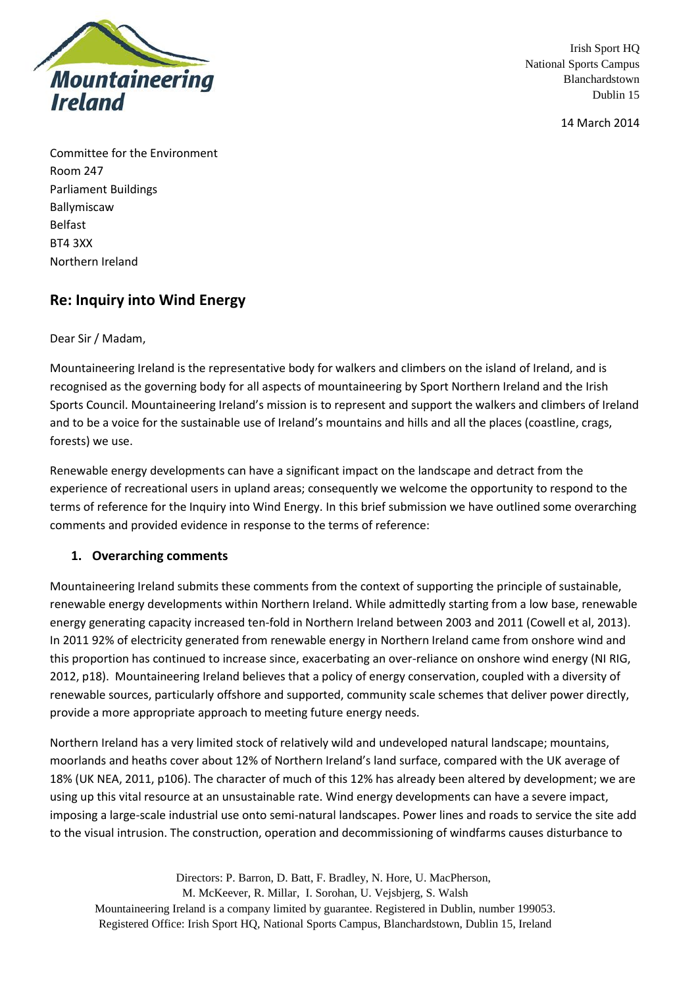

14 March 2014

Committee for the Environment Room 247 Parliament Buildings Ballymiscaw Belfast BT4 3XX Northern Ireland

# **Re: Inquiry into Wind Energy**

#### Dear Sir / Madam,

Mountaineering Ireland is the representative body for walkers and climbers on the island of Ireland, and is recognised as the governing body for all aspects of mountaineering by Sport Northern Ireland and the Irish Sports Council. Mountaineering Ireland's mission is to represent and support the walkers and climbers of Ireland and to be a voice for the sustainable use of Ireland's mountains and hills and all the places (coastline, crags, forests) we use.

Renewable energy developments can have a significant impact on the landscape and detract from the experience of recreational users in upland areas; consequently we welcome the opportunity to respond to the terms of reference for the Inquiry into Wind Energy. In this brief submission we have outlined some overarching comments and provided evidence in response to the terms of reference:

### **1. Overarching comments**

Mountaineering Ireland submits these comments from the context of supporting the principle of sustainable, renewable energy developments within Northern Ireland. While admittedly starting from a low base, renewable energy generating capacity increased ten-fold in Northern Ireland between 2003 and 2011 (Cowell et al, 2013). In 2011 92% of electricity generated from renewable energy in Northern Ireland came from onshore wind and this proportion has continued to increase since, exacerbating an over-reliance on onshore wind energy (NI RIG, 2012, p18). Mountaineering Ireland believes that a policy of energy conservation, coupled with a diversity of renewable sources, particularly offshore and supported, community scale schemes that deliver power directly, provide a more appropriate approach to meeting future energy needs.

Northern Ireland has a very limited stock of relatively wild and undeveloped natural landscape; mountains, moorlands and heaths cover about 12% of Northern Ireland's land surface, compared with the UK average of 18% (UK NEA, 2011, p106). The character of much of this 12% has already been altered by development; we are using up this vital resource at an unsustainable rate. Wind energy developments can have a severe impact, imposing a large-scale industrial use onto semi-natural landscapes. Power lines and roads to service the site add to the visual intrusion. The construction, operation and decommissioning of windfarms causes disturbance to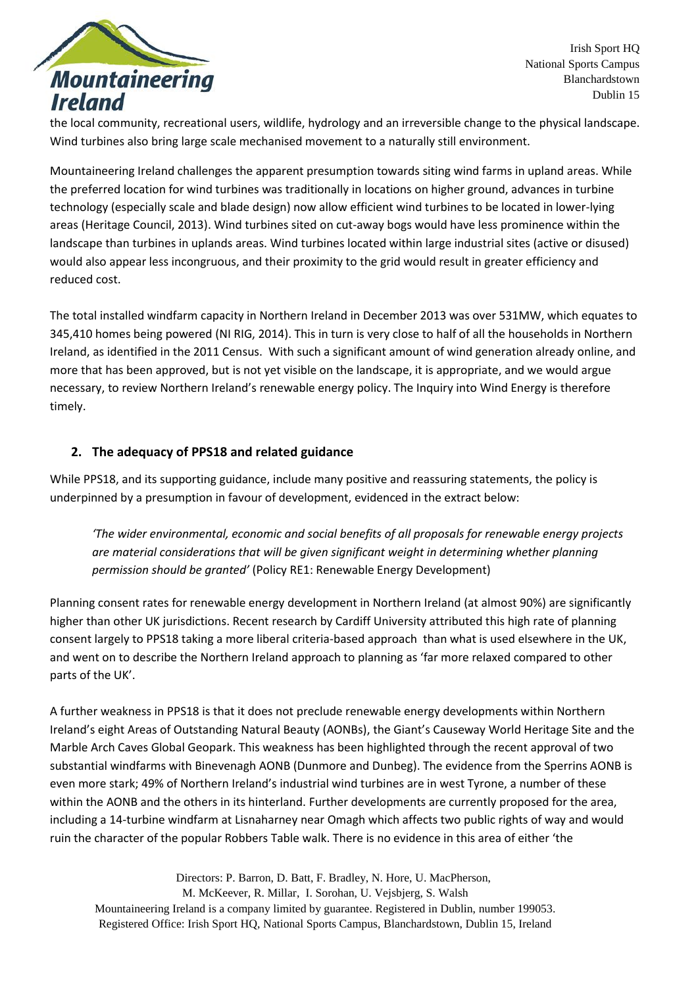

the local community, recreational users, wildlife, hydrology and an irreversible change to the physical landscape. Wind turbines also bring large scale mechanised movement to a naturally still environment.

Mountaineering Ireland challenges the apparent presumption towards siting wind farms in upland areas. While the preferred location for wind turbines was traditionally in locations on higher ground, advances in turbine technology (especially scale and blade design) now allow efficient wind turbines to be located in lower-lying areas (Heritage Council, 2013). Wind turbines sited on cut-away bogs would have less prominence within the landscape than turbines in uplands areas. Wind turbines located within large industrial sites (active or disused) would also appear less incongruous, and their proximity to the grid would result in greater efficiency and reduced cost.

The total installed windfarm capacity in Northern Ireland in December 2013 was over 531MW, which equates to 345,410 homes being powered (NI RIG, 2014). This in turn is very close to half of all the households in Northern Ireland, as identified in the 2011 Census. With such a significant amount of wind generation already online, and more that has been approved, but is not yet visible on the landscape, it is appropriate, and we would argue necessary, to review Northern Ireland's renewable energy policy. The Inquiry into Wind Energy is therefore timely.

### **2. The adequacy of PPS18 and related guidance**

While PPS18, and its supporting guidance, include many positive and reassuring statements, the policy is underpinned by a presumption in favour of development, evidenced in the extract below:

*'The wider environmental, economic and social benefits of all proposals for renewable energy projects are material considerations that will be given significant weight in determining whether planning permission should be granted'* (Policy RE1: Renewable Energy Development)

Planning consent rates for renewable energy development in Northern Ireland (at almost 90%) are significantly higher than other UK jurisdictions. Recent research by Cardiff University attributed this high rate of planning consent largely to PPS18 taking a more liberal criteria-based approach than what is used elsewhere in the UK, and went on to describe the Northern Ireland approach to planning as 'far more relaxed compared to other parts of the UK'.

A further weakness in PPS18 is that it does not preclude renewable energy developments within Northern Ireland's eight Areas of Outstanding Natural Beauty (AONBs), the Giant's Causeway World Heritage Site and the Marble Arch Caves Global Geopark. This weakness has been highlighted through the recent approval of two substantial windfarms with Binevenagh AONB (Dunmore and Dunbeg). The evidence from the Sperrins AONB is even more stark; 49% of Northern Ireland's industrial wind turbines are in west Tyrone, a number of these within the AONB and the others in its hinterland. Further developments are currently proposed for the area, including a 14-turbine windfarm at Lisnaharney near Omagh which affects two public rights of way and would ruin the character of the popular Robbers Table walk. There is no evidence in this area of either 'the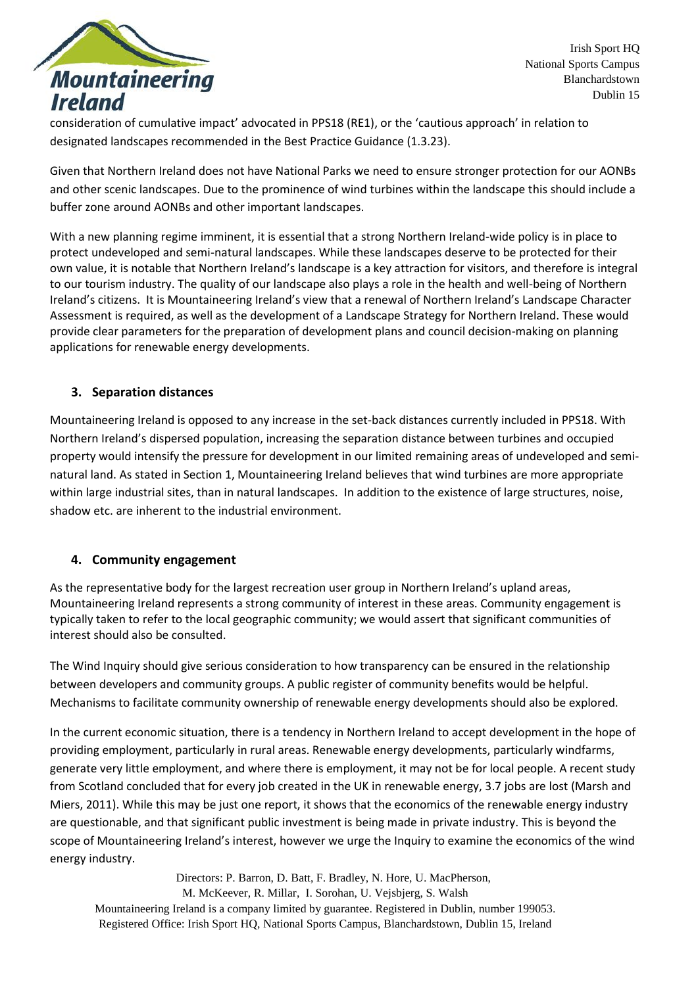

consideration of cumulative impact' advocated in PPS18 (RE1), or the 'cautious approach' in relation to designated landscapes recommended in the Best Practice Guidance (1.3.23).

Given that Northern Ireland does not have National Parks we need to ensure stronger protection for our AONBs and other scenic landscapes. Due to the prominence of wind turbines within the landscape this should include a buffer zone around AONBs and other important landscapes.

With a new planning regime imminent, it is essential that a strong Northern Ireland-wide policy is in place to protect undeveloped and semi-natural landscapes. While these landscapes deserve to be protected for their own value, it is notable that Northern Ireland's landscape is a key attraction for visitors, and therefore is integral to our tourism industry. The quality of our landscape also plays a role in the health and well-being of Northern Ireland's citizens. It is Mountaineering Ireland's view that a renewal of Northern Ireland's Landscape Character Assessment is required, as well as the development of a Landscape Strategy for Northern Ireland. These would provide clear parameters for the preparation of development plans and council decision-making on planning applications for renewable energy developments.

### **3. Separation distances**

Mountaineering Ireland is opposed to any increase in the set-back distances currently included in PPS18. With Northern Ireland's dispersed population, increasing the separation distance between turbines and occupied property would intensify the pressure for development in our limited remaining areas of undeveloped and seminatural land. As stated in Section 1, Mountaineering Ireland believes that wind turbines are more appropriate within large industrial sites, than in natural landscapes. In addition to the existence of large structures, noise, shadow etc. are inherent to the industrial environment.

### **4. Community engagement**

As the representative body for the largest recreation user group in Northern Ireland's upland areas, Mountaineering Ireland represents a strong community of interest in these areas. Community engagement is typically taken to refer to the local geographic community; we would assert that significant communities of interest should also be consulted.

The Wind Inquiry should give serious consideration to how transparency can be ensured in the relationship between developers and community groups. A public register of community benefits would be helpful. Mechanisms to facilitate community ownership of renewable energy developments should also be explored.

In the current economic situation, there is a tendency in Northern Ireland to accept development in the hope of providing employment, particularly in rural areas. Renewable energy developments, particularly windfarms, generate very little employment, and where there is employment, it may not be for local people. A recent study from Scotland concluded that for every job created in the UK in renewable energy, 3.7 jobs are lost (Marsh and Miers, 2011). While this may be just one report, it shows that the economics of the renewable energy industry are questionable, and that significant public investment is being made in private industry. This is beyond the scope of Mountaineering Ireland's interest, however we urge the Inquiry to examine the economics of the wind energy industry.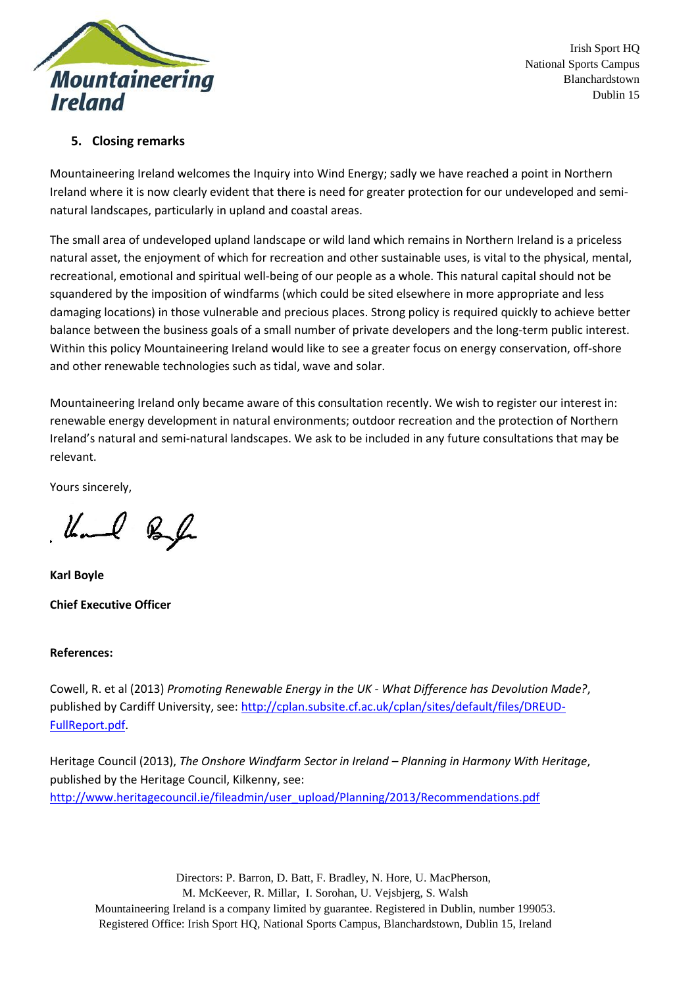

## **5. Closing remarks**

Mountaineering Ireland welcomes the Inquiry into Wind Energy; sadly we have reached a point in Northern Ireland where it is now clearly evident that there is need for greater protection for our undeveloped and seminatural landscapes, particularly in upland and coastal areas.

The small area of undeveloped upland landscape or wild land which remains in Northern Ireland is a priceless natural asset, the enjoyment of which for recreation and other sustainable uses, is vital to the physical, mental, recreational, emotional and spiritual well-being of our people as a whole. This natural capital should not be squandered by the imposition of windfarms (which could be sited elsewhere in more appropriate and less damaging locations) in those vulnerable and precious places. Strong policy is required quickly to achieve better balance between the business goals of a small number of private developers and the long-term public interest. Within this policy Mountaineering Ireland would like to see a greater focus on energy conservation, off-shore and other renewable technologies such as tidal, wave and solar.

Mountaineering Ireland only became aware of this consultation recently. We wish to register our interest in: renewable energy development in natural environments; outdoor recreation and the protection of Northern Ireland's natural and semi-natural landscapes. We ask to be included in any future consultations that may be relevant.

Yours sincerely,

Kal Bal

**Karl Boyle Chief Executive Officer**

#### **References:**

Cowell, R. et al (2013) *Promoting Renewable Energy in the UK - What Difference has Devolution Made?*, published by Cardiff University, see[: http://cplan.subsite.cf.ac.uk/cplan/sites/default/files/DREUD-](http://cplan.subsite.cf.ac.uk/cplan/sites/default/files/DREUD-FullReport.pdf)[FullReport.pdf.](http://cplan.subsite.cf.ac.uk/cplan/sites/default/files/DREUD-FullReport.pdf)

Heritage Council (2013), *The Onshore Windfarm Sector in Ireland – Planning in Harmony With Heritage*, published by the Heritage Council, Kilkenny, see: [http://www.heritagecouncil.ie/fileadmin/user\\_upload/Planning/2013/Recommendations.pdf](http://www.heritagecouncil.ie/fileadmin/user_upload/Planning/2013/Recommendations.pdf)